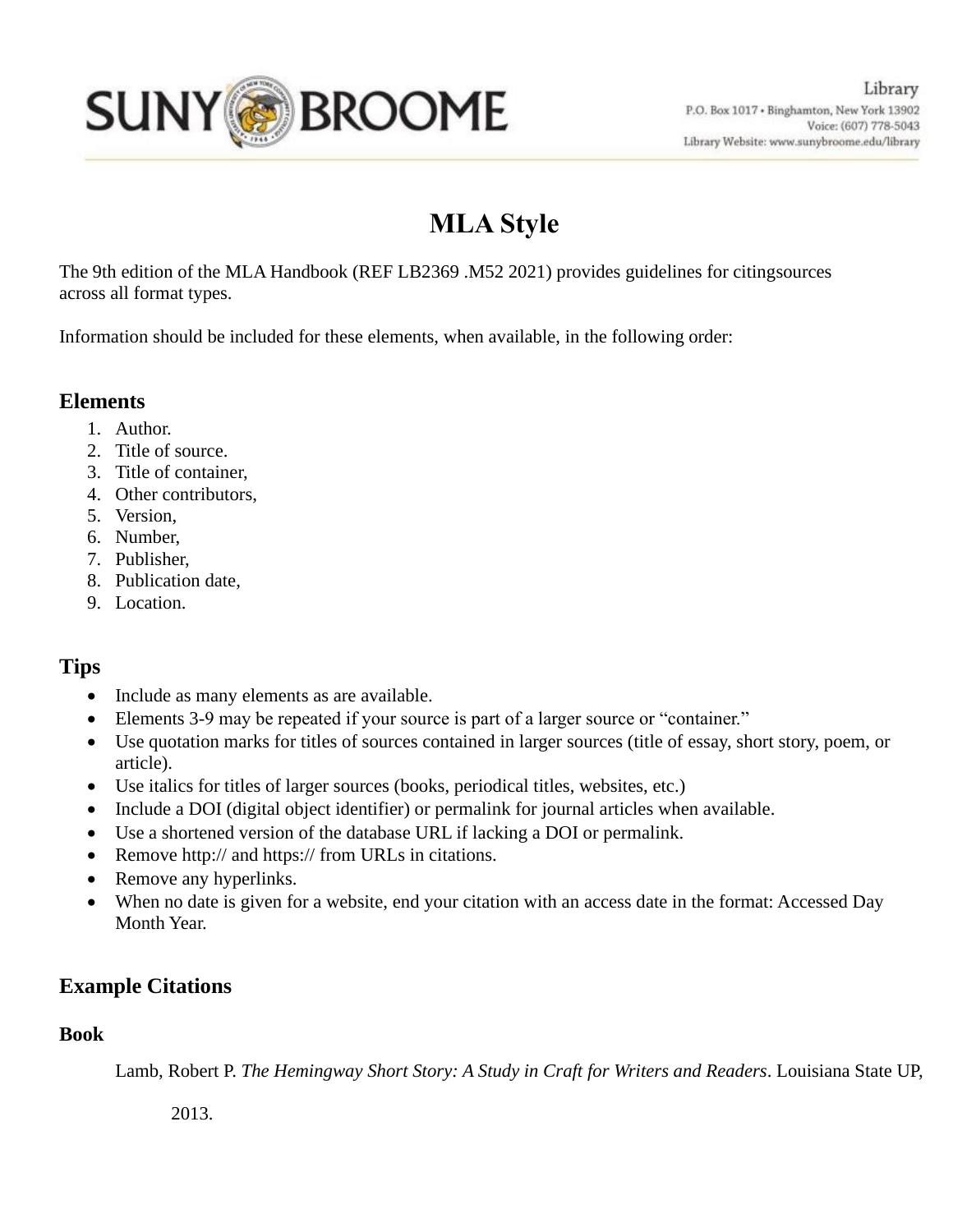

# **MLA Style**

The 9th edition of the MLA Handbook (REF LB2369 .M52 2021) provides guidelines for citingsources across all format types.

Information should be included for these elements, when available, in the following order:

# **Elements**

- 1. Author.
- 2. Title of source.
- 3. Title of container,
- 4. Other contributors,
- 5. Version,
- 6. Number,
- 7. Publisher,
- 8. Publication date,
- 9. Location.

# **Tips**

- Include as many elements as are available.
- Elements 3-9 may be repeated if your source is part of a larger source or "container."
- Use quotation marks for titles of sources contained in larger sources (title of essay, short story, poem, or article).
- Use italics for titles of larger sources (books, periodical titles, websites, etc.)
- Include a DOI (digital object identifier) or permalink for journal articles when available.
- Use a shortened version of the database URL if lacking a DOI or permalink.
- Remove http:// and https:// from URLs in citations.
- Remove any hyperlinks.
- When no date is given for a website, end your citation with an access date in the format: Accessed Day Month Year.

# **Example Citations**

## **Book**

Lamb, Robert P. *The Hemingway Short Story: A Study in Craft for Writers and Readers*. Louisiana State UP,

2013.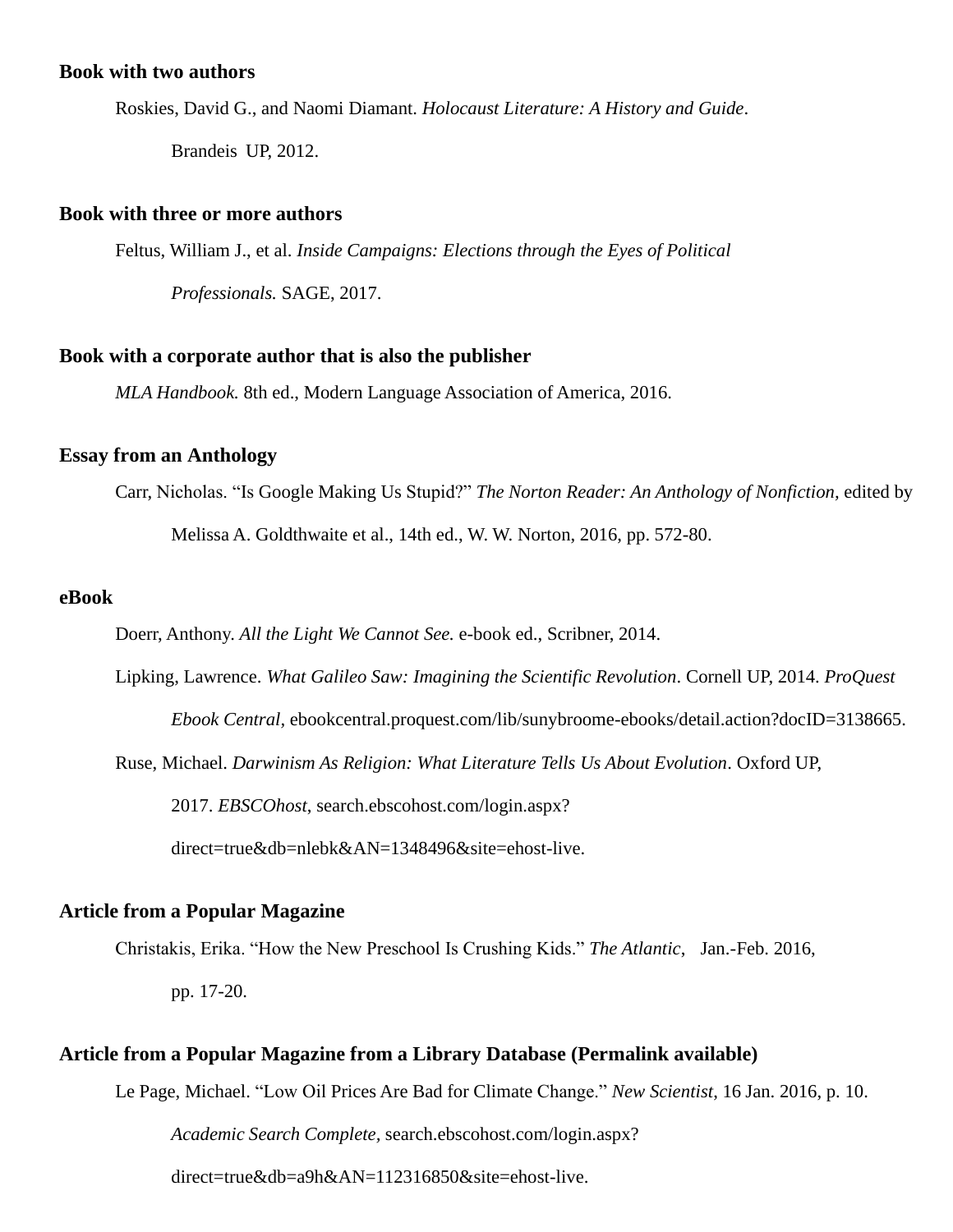## **Book with two authors**

Roskies, David G., and Naomi Diamant. *Holocaust Literature: A History and Guide*.

Brandeis UP, 2012.

## **Book with three or more authors**

Feltus, William J., et al. *Inside Campaigns: Elections through the Eyes of Political*

*Professionals.* SAGE, 2017.

#### **Book with a corporate author that is also the publisher**

*MLA Handbook.* 8th ed., Modern Language Association of America, 2016.

## **Essay from an Anthology**

Carr, Nicholas. "Is Google Making Us Stupid?" *The Norton Reader: An Anthology of Nonfiction,* edited by

Melissa A. Goldthwaite et al., 14th ed., W. W. Norton, 2016, pp. 572-80.

#### **eBook**

Doerr, Anthony. *All the Light We Cannot See.* e-book ed., Scribner, 2014.

Lipking, Lawrence. *What Galileo Saw: Imagining the Scientific Revolution*. Cornell UP, 2014. *ProQuest* 

*Ebook Central,* ebookcentral.proquest.com/lib/sunybroome-ebooks/detail.action?docID=3138665.

Ruse, Michael. *Darwinism As Religion: What Literature Tells Us About Evolution*. Oxford UP,

2017. *EBSCOhost*, search.ebscohost.com/login.aspx?

direct=true&db=nlebk&AN=1348496&site=ehost-live.

## **Article from a Popular Magazine**

Christakis, Erika. "How the New Preschool Is Crushing Kids." *The Atlantic*, Jan.-Feb. 2016,

pp. 17-20.

## **Article from a Popular Magazine from a Library Database (Permalink available)**

Le Page, Michael. "Low Oil Prices Are Bad for Climate Change." *New Scientist*, 16 Jan. 2016, p. 10.

*Academic Search Complete,* search.ebscohost.com/login.aspx?

direct=true&db=a9h&AN=112316850&site=ehost-live.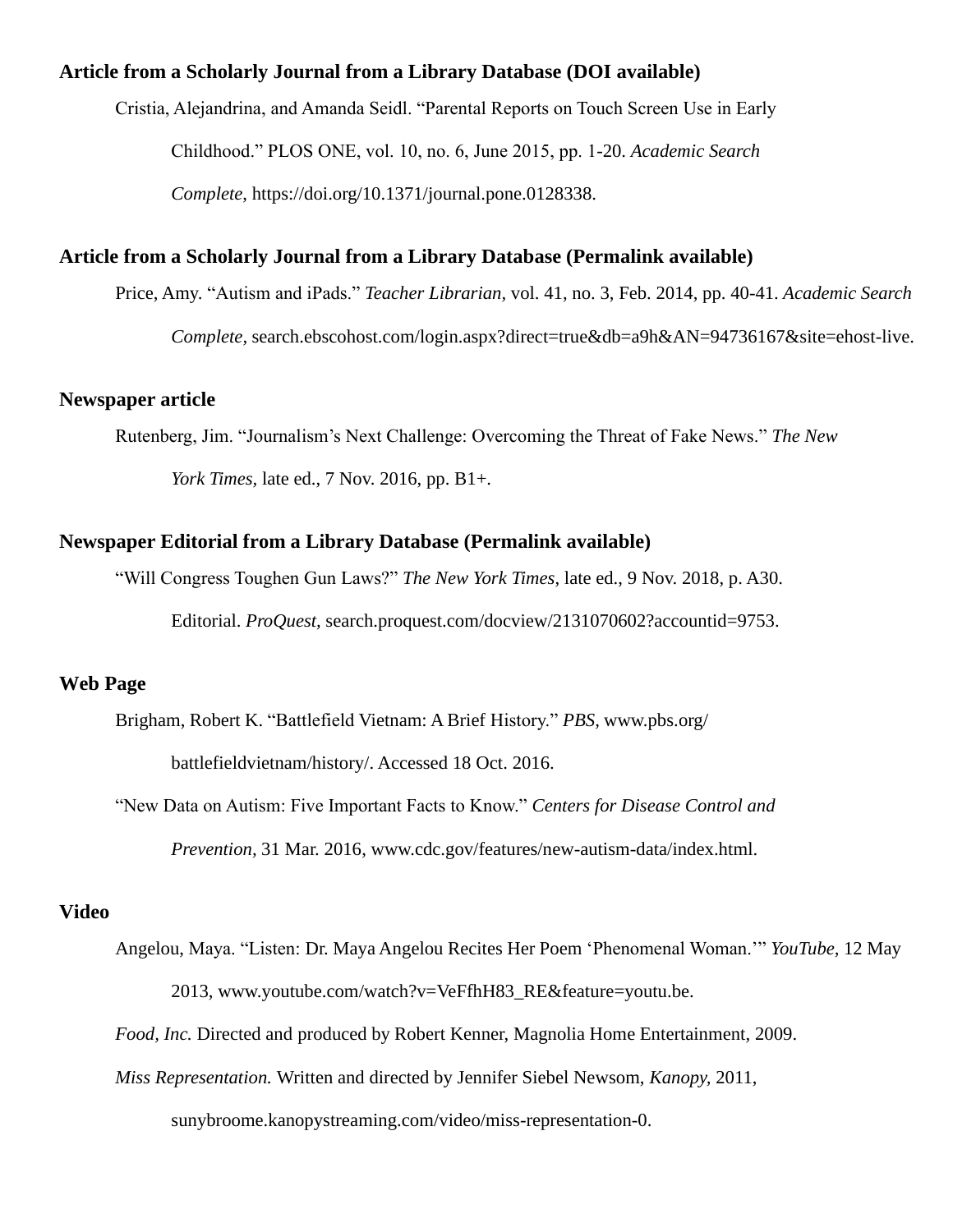## **Article from a Scholarly Journal from a Library Database (DOI available)**

Cristia, Alejandrina, and Amanda Seidl. "Parental Reports on Touch Screen Use in Early

Childhood." PLOS ONE, vol. 10, no. 6, June 2015, pp. 1-20. *Academic Search*

*Complete*, https://doi.org/10.1371/journal.pone.0128338.

## **Article from a Scholarly Journal from a Library Database (Permalink available)**

Price, Amy. "Autism and iPads." *Teacher Librarian,* vol. 41, no. 3, Feb. 2014, pp. 40-41. *Academic Search*

*Complete,* search.ebscohost.com/login.aspx?direct=true&db=a9h&AN=94736167&site=ehost-live.

#### **Newspaper article**

Rutenberg, Jim. "Journalism's Next Challenge: Overcoming the Threat of Fake News." *The New*

*York Times,* late ed., 7 Nov. 2016, pp. B1+.

#### **Newspaper Editorial from a Library Database (Permalink available)**

"Will Congress Toughen Gun Laws?" *The New York Times*, late ed., 9 Nov. 2018, p. A30.

Editorial. *ProQuest,* search.proquest.com/docview/2131070602?accountid=9753.

## **Web Page**

Brigham, Robert K. "Battlefield Vietnam: A Brief History." *PBS,* [www.pbs.org/](http://www.pbs.org/) battlefieldvietnam/history/. Accessed 18 Oct. 2016.

"New Data on Autism: Five Important Facts to Know." *Centers for Disease Control and Prevention,* 31 Mar. 2016, [www.cdc.gov/features/new-autism-data/index.html.](http://www.cdc.gov/features/new-autism-data/index.html)

## **Video**

- Angelou, Maya. "Listen: Dr. Maya Angelou Recites Her Poem 'Phenomenal Woman.'" *YouTube,* 12 May 2013, [www.youtube.com/watch?v=VeFfhH83\\_RE&feature=youtu.be.](http://www.youtube.com/watch?v=VeFfhH83_RE&%3Bfeature=youtu.be)
- *Food, Inc.* Directed and produced by Robert Kenner, Magnolia Home Entertainment, 2009.
- *Miss Representation.* Written and directed by Jennifer Siebel Newsom, *Kanopy,* 2011,

sunybroome.kanopystreaming.com/video/miss-representation-0.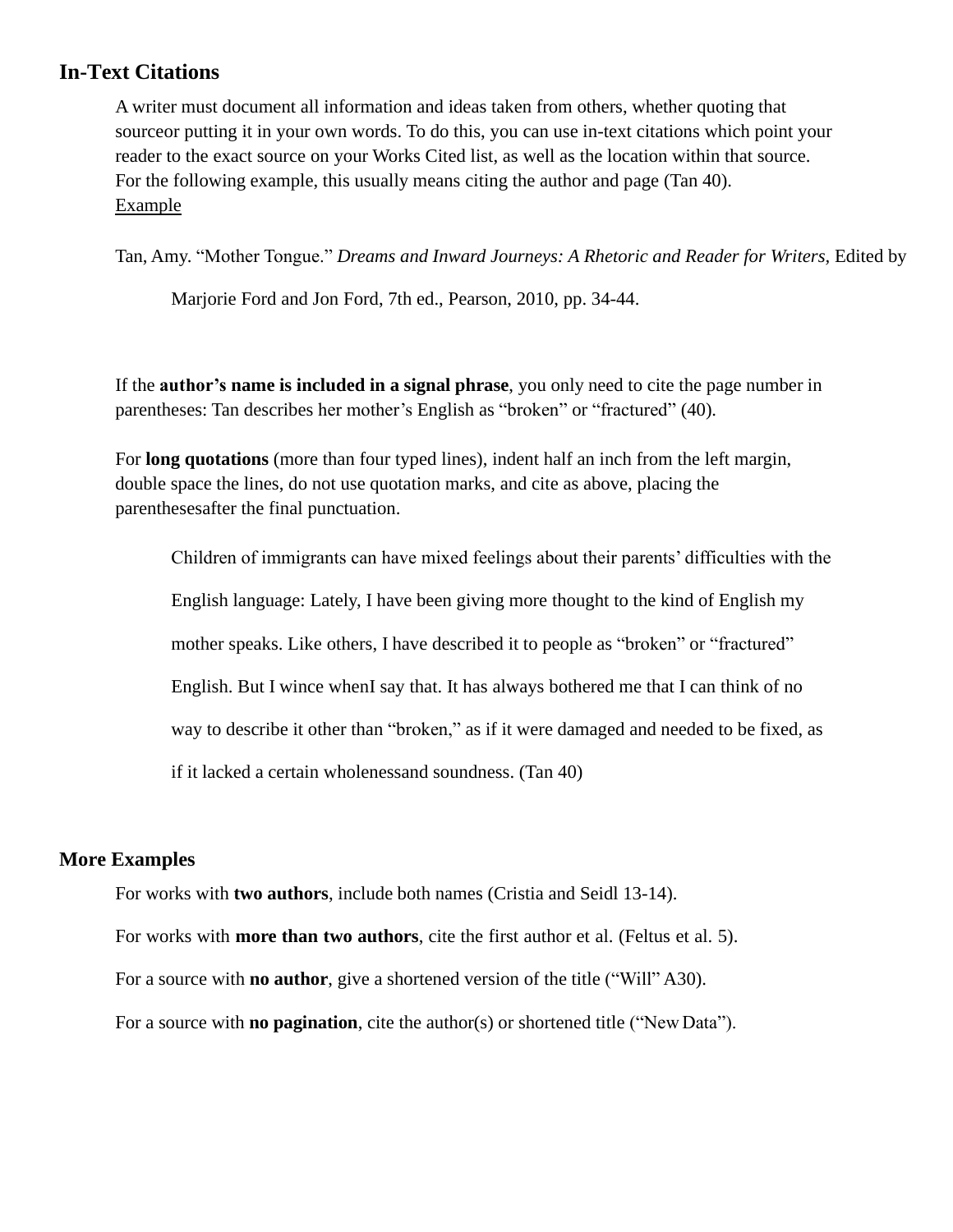# **In-Text Citations**

A writer must document all information and ideas taken from others, whether quoting that sourceor putting it in your own words. To do this, you can use in-text citations which point your reader to the exact source on your Works Cited list, as well as the location within that source. For the following example, this usually means citing the author and page (Tan 40). Example

Tan, Amy. "Mother Tongue." *Dreams and Inward Journeys: A Rhetoric and Reader for Writers,* Edited by

Marjorie Ford and Jon Ford, 7th ed., Pearson, 2010, pp. 34-44.

If the **author's name is included in a signal phrase**, you only need to cite the page number in parentheses: Tan describes her mother's English as "broken" or "fractured" (40).

For **long quotations** (more than four typed lines), indent half an inch from the left margin, double space the lines, do not use quotation marks, and cite as above, placing the parenthesesafter the final punctuation.

Children of immigrants can have mixed feelings about their parents' difficulties with the English language: Lately, I have been giving more thought to the kind of English my mother speaks. Like others, I have described it to people as "broken" or "fractured" English. But I wince whenI say that. It has always bothered me that I can think of no way to describe it other than "broken," as if it were damaged and needed to be fixed, as if it lacked a certain wholenessand soundness. (Tan 40)

## **More Examples**

For works with **two authors**, include both names (Cristia and Seidl 13-14).

For works with **more than two authors**, cite the first author et al. (Feltus et al. 5).

For a source with **no author**, give a shortened version of the title ("Will" A30).

For a source with **no pagination**, cite the author(s) or shortened title ("New Data").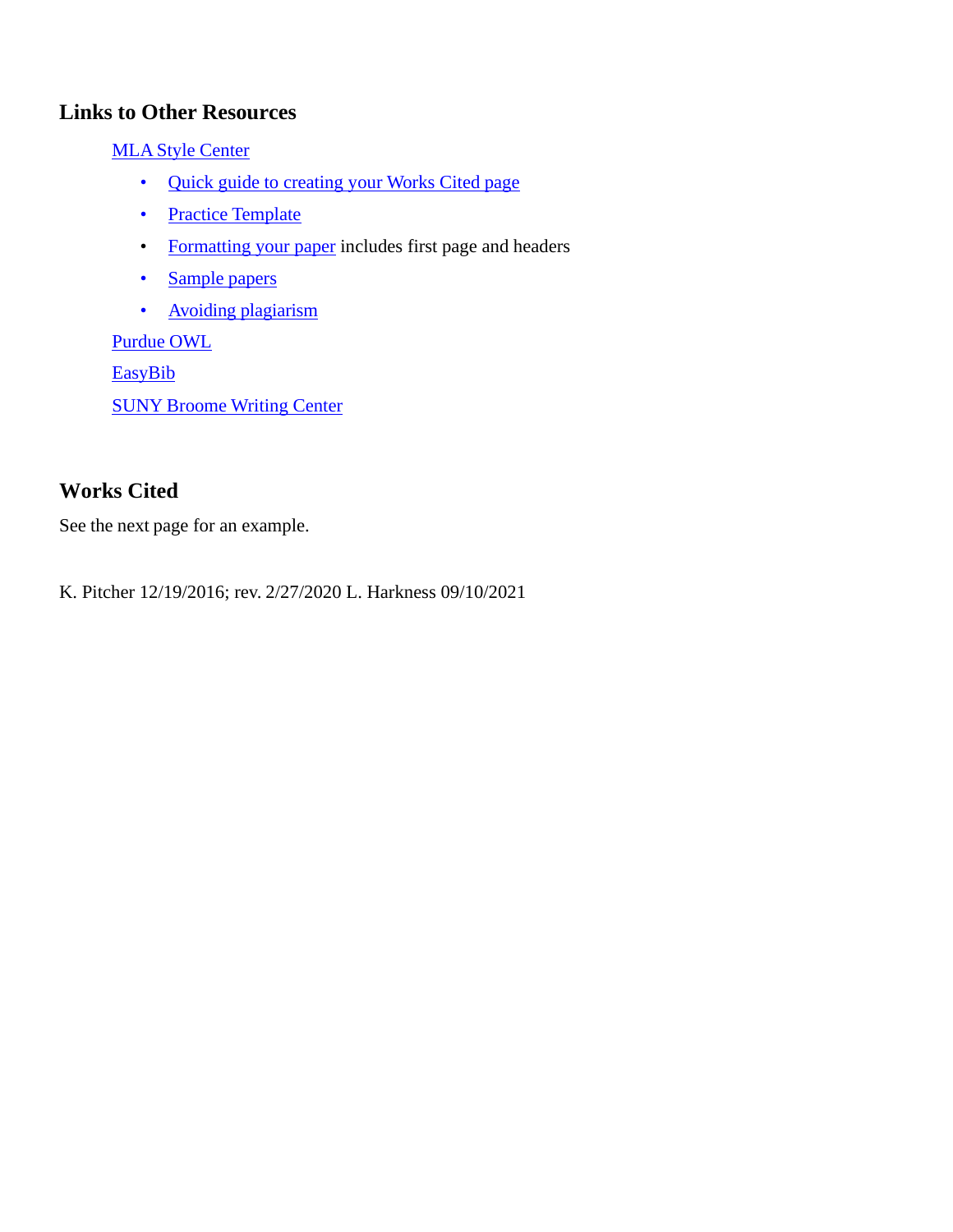# **Links to Other Resources**

MLA Style [Center](https://style.mla.org/)

- Quick guide to [creating](https://style.mla.org/works-cited-a-quick-guide/) your Works Cited page
- Practice [Template](https://style.mla.org/files/2016/04/practice-template.pdf)
- [Formatting your](https://style.mla.org/formatting-papers/) paper includes first page and headers
- [Sample](https://style.mla.org/sample-papers/) papers
- **[Avoiding plagiarism](https://style.mla.org/plagiarism-and-academic-dishonesty/)**

[Purdue](https://owl.english.purdue.edu/owl/resource/747/01/) OWL

**[EasyBib](http://content.easybib.com/guides/citation-guides/mla-8/)** 

SUNY [Broome](https://mycollege.sunybroome.edu/web/www/writing-center1) Writing Center

# **Works Cited**

See the next page for an example.

K. Pitcher 12/19/2016; rev. 2/27/2020 L. Harkness 09/10/2021